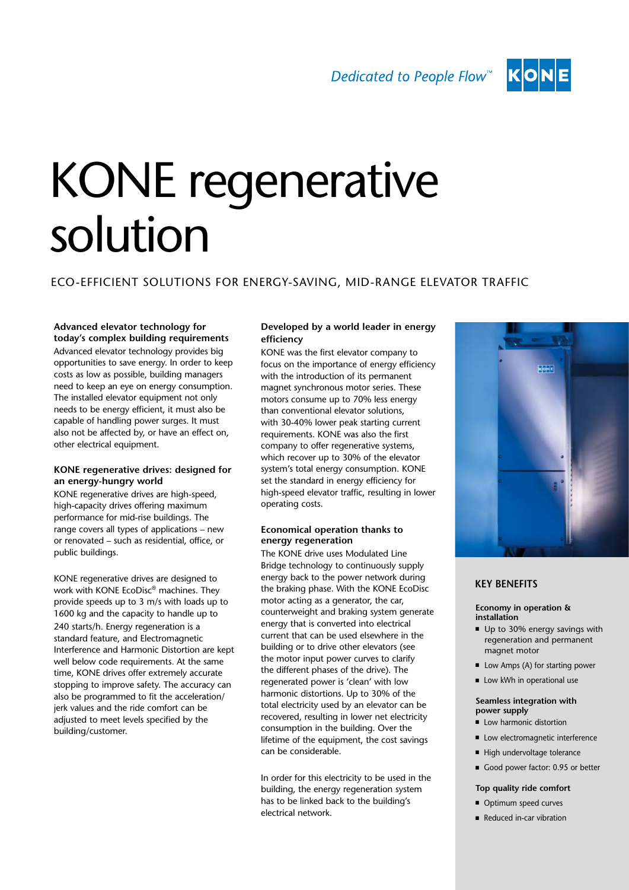Dedicated to People Flow<sup>™</sup>



# KONE regenerative solution

# Eco-efficient solutions for energy-saving, MID-RANGE elevator traffic

## **Advanced elevator technology for today's complex building requirements**

Advanced elevator technology provides big opportunities to save energy. In order to keep costs as low as possible, building managers need to keep an eye on energy consumption. The installed elevator equipment not only needs to be energy efficient, it must also be capable of handling power surges. It must also not be affected by, or have an effect on, other electrical equipment.

## **KONE regenerative drives: designed for an energy-hungry world**

KONE regenerative drives are high-speed, high-capacity drives offering maximum performance for mid-rise buildings. The range covers all types of applications – new or renovated – such as residential, office, or public buildings.

KONE regenerative drives are designed to work with KONE EcoDisc® machines. They provide speeds up to 3 m/s with loads up to 1600 kg and the capacity to handle up to 240 starts/h. Energy regeneration is a standard feature, and Electromagnetic Interference and Harmonic Distortion are kept well below code requirements. At the same time, KONE drives offer extremely accurate stopping to improve safety. The accuracy can also be programmed to fit the acceleration/ jerk values and the ride comfort can be adjusted to meet levels specified by the building/customer.

# **Developed by a world leader in energy efficiency**

KONE was the first elevator company to focus on the importance of energy efficiency with the introduction of its permanent magnet synchronous motor series. These motors consume up to 70% less energy than conventional elevator solutions, with 30-40% lower peak starting current requirements. KONE was also the first company to offer regenerative systems, which recover up to 30% of the elevator system's total energy consumption. KONE set the standard in energy efficiency for high-speed elevator traffic, resulting in lower operating costs.

## **Economical operation thanks to energy regeneration**

The KONE drive uses Modulated Line Bridge technology to continuously supply energy back to the power network during the braking phase. With the KONE EcoDisc motor acting as a generator, the car, counterweight and braking system generate energy that is converted into electrical current that can be used elsewhere in the building or to drive other elevators (see the motor input power curves to clarify the different phases of the drive). The regenerated power is 'clean' with low harmonic distortions. Up to 30% of the total electricity used by an elevator can be recovered, resulting in lower net electricity consumption in the building. Over the lifetime of the equipment, the cost savings can be considerable.

In order for this electricity to be used in the building, the energy regeneration system has to be linked back to the building's electrical network.



# **KEY BENEFITS**

## **Economy in operation & installation**

- Up to 30% energy savings with regeneration and permanent magnet motor
- $\blacksquare$  Low Amps (A) for starting power
	- $\blacksquare$  Low kWh in operational use

## **Seamless integration with power supply**

- **E** Low harmonic distortion
- Low electromagnetic interference
- $\blacksquare$  High undervoltage tolerance
- Good power factor: 0.95 or better

## **Top quality ride comfort**

- Optimum speed curves
- Reduced in-car vibration